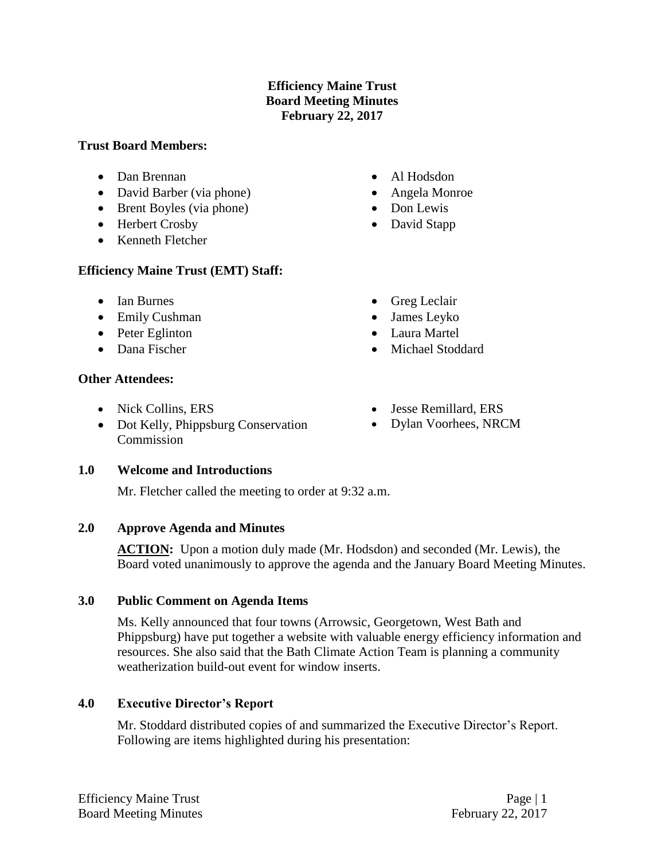# **Efficiency Maine Trust Board Meeting Minutes February 22, 2017**

#### **Trust Board Members:**

- Dan Brennan
- David Barber (via phone)
- Brent Boyles (via phone)
- Herbert Crosby
- Kenneth Fletcher

# **Efficiency Maine Trust (EMT) Staff:**

- Ian Burnes
- Emily Cushman
- Peter Eglinton
- Dana Fischer

# **Other Attendees:**

- Nick Collins, ERS
- Dot Kelly, Phippsburg Conservation Commission
- Al Hodsdon
- Angela Monroe
- Don Lewis
- David Stapp
- Greg Leclair
- James Leyko
- Laura Martel
- Michael Stoddard
- Jesse Remillard, ERS
- Dylan Voorhees, NRCM

### **1.0 Welcome and Introductions**

Mr. Fletcher called the meeting to order at 9:32 a.m.

# **2.0 Approve Agenda and Minutes**

**ACTION:** Upon a motion duly made (Mr. Hodsdon) and seconded (Mr. Lewis), the Board voted unanimously to approve the agenda and the January Board Meeting Minutes.

### **3.0 Public Comment on Agenda Items**

Ms. Kelly announced that four towns (Arrowsic, Georgetown, West Bath and Phippsburg) have put together a website with valuable energy efficiency information and resources. She also said that the Bath Climate Action Team is planning a community weatherization build-out event for window inserts.

# **4.0 Executive Director's Report**

Mr. Stoddard distributed copies of and summarized the Executive Director's Report. Following are items highlighted during his presentation: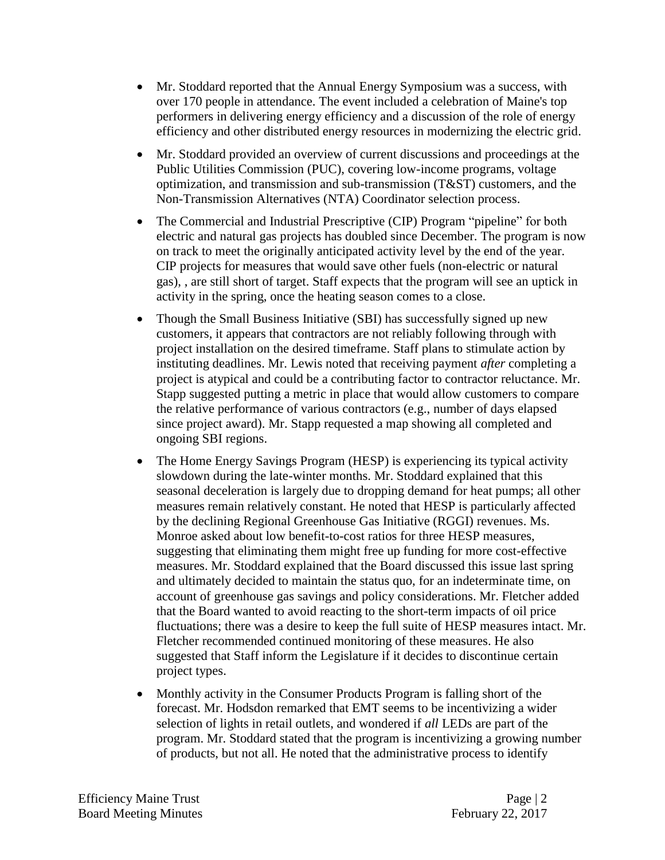- Mr. Stoddard reported that the Annual Energy Symposium was a success, with over 170 people in attendance. The event included a celebration of Maine's top performers in delivering energy efficiency and a discussion of the role of energy efficiency and other distributed energy resources in modernizing the electric grid.
- Mr. Stoddard provided an overview of current discussions and proceedings at the Public Utilities Commission (PUC), covering low-income programs, voltage optimization, and transmission and sub-transmission (T&ST) customers, and the Non-Transmission Alternatives (NTA) Coordinator selection process.
- The Commercial and Industrial Prescriptive (CIP) Program "pipeline" for both electric and natural gas projects has doubled since December. The program is now on track to meet the originally anticipated activity level by the end of the year. CIP projects for measures that would save other fuels (non-electric or natural gas), , are still short of target. Staff expects that the program will see an uptick in activity in the spring, once the heating season comes to a close.
- Though the Small Business Initiative (SBI) has successfully signed up new customers, it appears that contractors are not reliably following through with project installation on the desired timeframe. Staff plans to stimulate action by instituting deadlines. Mr. Lewis noted that receiving payment *after* completing a project is atypical and could be a contributing factor to contractor reluctance. Mr. Stapp suggested putting a metric in place that would allow customers to compare the relative performance of various contractors (e.g., number of days elapsed since project award). Mr. Stapp requested a map showing all completed and ongoing SBI regions.
- The Home Energy Savings Program (HESP) is experiencing its typical activity slowdown during the late-winter months. Mr. Stoddard explained that this seasonal deceleration is largely due to dropping demand for heat pumps; all other measures remain relatively constant. He noted that HESP is particularly affected by the declining Regional Greenhouse Gas Initiative (RGGI) revenues. Ms. Monroe asked about low benefit-to-cost ratios for three HESP measures, suggesting that eliminating them might free up funding for more cost-effective measures. Mr. Stoddard explained that the Board discussed this issue last spring and ultimately decided to maintain the status quo, for an indeterminate time, on account of greenhouse gas savings and policy considerations. Mr. Fletcher added that the Board wanted to avoid reacting to the short-term impacts of oil price fluctuations; there was a desire to keep the full suite of HESP measures intact. Mr. Fletcher recommended continued monitoring of these measures. He also suggested that Staff inform the Legislature if it decides to discontinue certain project types.
- Monthly activity in the Consumer Products Program is falling short of the forecast. Mr. Hodsdon remarked that EMT seems to be incentivizing a wider selection of lights in retail outlets, and wondered if *all* LEDs are part of the program. Mr. Stoddard stated that the program is incentivizing a growing number of products, but not all. He noted that the administrative process to identify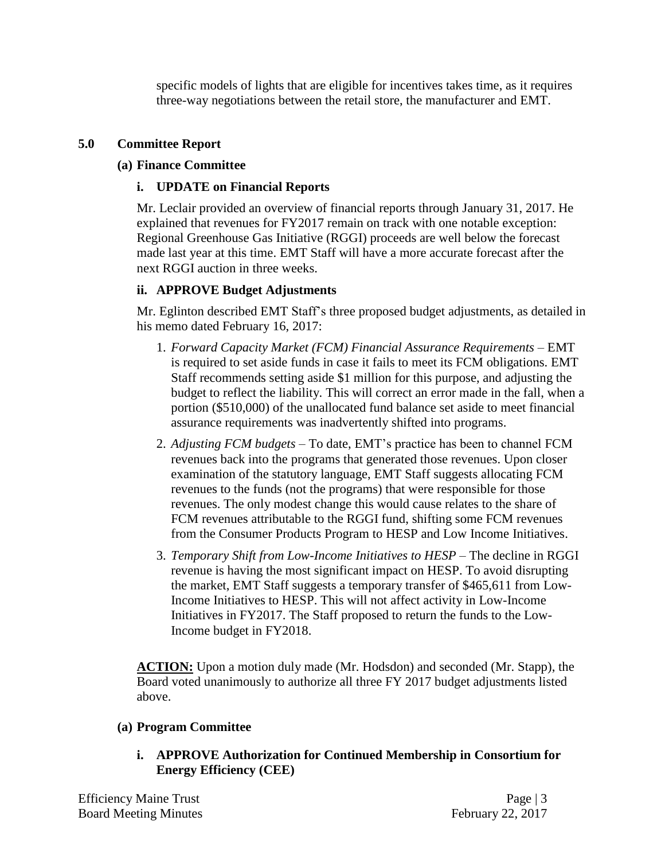specific models of lights that are eligible for incentives takes time, as it requires three-way negotiations between the retail store, the manufacturer and EMT.

# **5.0 Committee Report**

## **(a) Finance Committee**

## **i. UPDATE on Financial Reports**

Mr. Leclair provided an overview of financial reports through January 31, 2017. He explained that revenues for FY2017 remain on track with one notable exception: Regional Greenhouse Gas Initiative (RGGI) proceeds are well below the forecast made last year at this time. EMT Staff will have a more accurate forecast after the next RGGI auction in three weeks.

# **ii. APPROVE Budget Adjustments**

Mr. Eglinton described EMT Staff's three proposed budget adjustments, as detailed in his memo dated February 16, 2017:

- 1. *Forward Capacity Market (FCM) Financial Assurance Requirements* EMT is required to set aside funds in case it fails to meet its FCM obligations. EMT Staff recommends setting aside \$1 million for this purpose, and adjusting the budget to reflect the liability. This will correct an error made in the fall, when a portion (\$510,000) of the unallocated fund balance set aside to meet financial assurance requirements was inadvertently shifted into programs.
- 2. *Adjusting FCM budgets* To date, EMT's practice has been to channel FCM revenues back into the programs that generated those revenues. Upon closer examination of the statutory language, EMT Staff suggests allocating FCM revenues to the funds (not the programs) that were responsible for those revenues. The only modest change this would cause relates to the share of FCM revenues attributable to the RGGI fund, shifting some FCM revenues from the Consumer Products Program to HESP and Low Income Initiatives.
- 3. *Temporary Shift from Low-Income Initiatives to HESP* The decline in RGGI revenue is having the most significant impact on HESP. To avoid disrupting the market, EMT Staff suggests a temporary transfer of \$465,611 from Low-Income Initiatives to HESP. This will not affect activity in Low-Income Initiatives in FY2017. The Staff proposed to return the funds to the Low-Income budget in FY2018.

**ACTION:** Upon a motion duly made (Mr. Hodsdon) and seconded (Mr. Stapp), the Board voted unanimously to authorize all three FY 2017 budget adjustments listed above.

### **(a) Program Committee**

**i. APPROVE Authorization for Continued Membership in Consortium for Energy Efficiency (CEE)**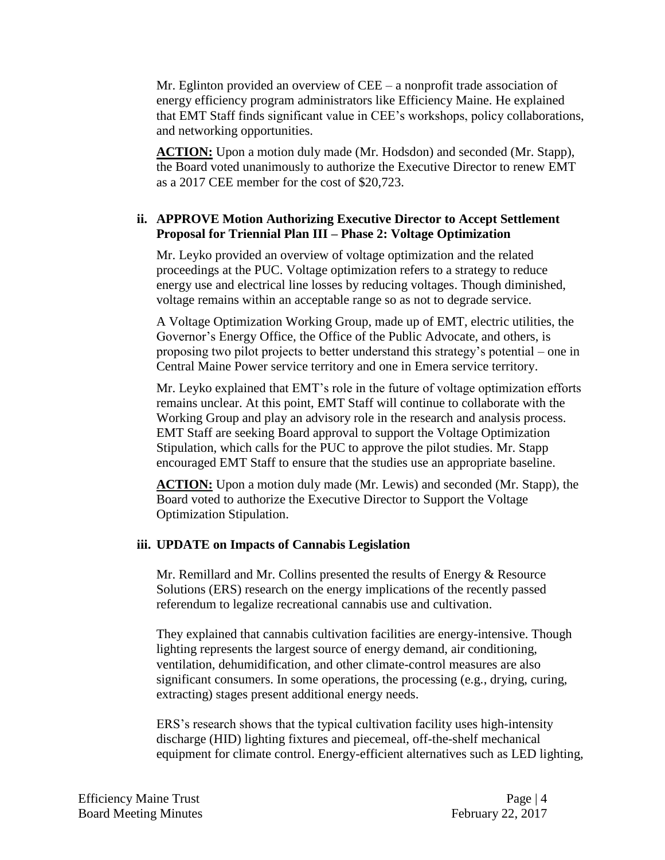Mr. Eglinton provided an overview of CEE – a nonprofit trade association of energy efficiency program administrators like Efficiency Maine. He explained that EMT Staff finds significant value in CEE's workshops, policy collaborations, and networking opportunities.

**ACTION:** Upon a motion duly made (Mr. Hodsdon) and seconded (Mr. Stapp), the Board voted unanimously to authorize the Executive Director to renew EMT as a 2017 CEE member for the cost of \$20,723.

### **ii. APPROVE Motion Authorizing Executive Director to Accept Settlement Proposal for Triennial Plan III – Phase 2: Voltage Optimization**

Mr. Leyko provided an overview of voltage optimization and the related proceedings at the PUC. Voltage optimization refers to a strategy to reduce energy use and electrical line losses by reducing voltages. Though diminished, voltage remains within an acceptable range so as not to degrade service.

A Voltage Optimization Working Group, made up of EMT, electric utilities, the Governor's Energy Office, the Office of the Public Advocate, and others, is proposing two pilot projects to better understand this strategy's potential – one in Central Maine Power service territory and one in Emera service territory.

Mr. Leyko explained that EMT's role in the future of voltage optimization efforts remains unclear. At this point, EMT Staff will continue to collaborate with the Working Group and play an advisory role in the research and analysis process. EMT Staff are seeking Board approval to support the Voltage Optimization Stipulation, which calls for the PUC to approve the pilot studies. Mr. Stapp encouraged EMT Staff to ensure that the studies use an appropriate baseline.

**ACTION:** Upon a motion duly made (Mr. Lewis) and seconded (Mr. Stapp), the Board voted to authorize the Executive Director to Support the Voltage Optimization Stipulation.

### **iii. UPDATE on Impacts of Cannabis Legislation**

Mr. Remillard and Mr. Collins presented the results of Energy & Resource Solutions (ERS) research on the energy implications of the recently passed referendum to legalize recreational cannabis use and cultivation.

They explained that cannabis cultivation facilities are energy-intensive. Though lighting represents the largest source of energy demand, air conditioning, ventilation, dehumidification, and other climate-control measures are also significant consumers. In some operations, the processing (e.g., drying, curing, extracting) stages present additional energy needs.

ERS's research shows that the typical cultivation facility uses high-intensity discharge (HID) lighting fixtures and piecemeal, off-the-shelf mechanical equipment for climate control. Energy-efficient alternatives such as LED lighting,